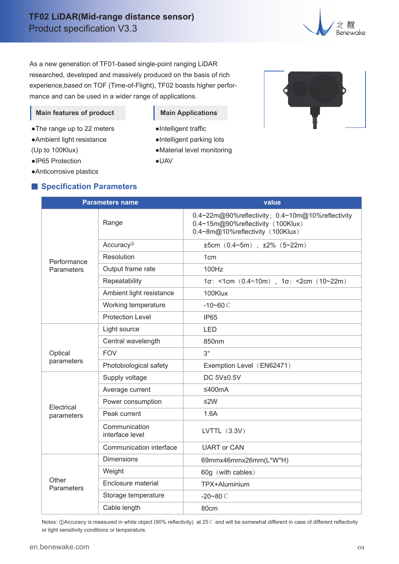

As a new generation of TF01-based single-point ranging LiDAR researched, developed and massively produced on the basis of rich experience,based on TOF (Time-of-Flight), TF02 boasts higher performance and can be used in a wider range of applications.

#### **Main features of product**

- ●The range up to 22 meters
- ●Ambient light resistance
- (Up to 100Klux)
- ●IP65 Protection
- ●Anticorrosive plastics

### **Specification Parameters**

# **Main Applications**

- ●Intelligent traffic
- ●Intelligent parking lots
- ●Material level monitoring
- ●UAV



| <b>Parameters name</b>    |                                  | value                                                                                                                     |  |
|---------------------------|----------------------------------|---------------------------------------------------------------------------------------------------------------------------|--|
| Performance<br>Parameters | Range                            | 0.4~22m@90%reflectivity; 0.4~10m@10%reflectivity<br>0.4~15m@90%reflectivity (100Klux)<br>0.4~8m@10%reflectivity (100Klux) |  |
|                           | Accuracy <sup>®</sup>            | $±5cm$ (0.4~5m), $±2\%$ (5~22m)                                                                                           |  |
|                           | Resolution                       | 1cm                                                                                                                       |  |
|                           | Output frame rate                | 100Hz                                                                                                                     |  |
|                           | Repeatability                    | $1\sigma$ : <1cm $(0.4 \sim 10m)$ , 1 $\sigma$ : <2cm $(10 \sim 22m)$                                                     |  |
|                           | Ambient light resistance         | 100Klux                                                                                                                   |  |
|                           | Working temperature              | $-10 - 60$ C                                                                                                              |  |
|                           | <b>Protection Level</b>          | IP <sub>65</sub>                                                                                                          |  |
|                           | Light source                     | <b>LED</b>                                                                                                                |  |
|                           | Central wavelength               | 850nm                                                                                                                     |  |
| Optical                   | <b>FOV</b>                       | $3^{\circ}$                                                                                                               |  |
| parameters                | Photobiological safety           | Exemption Level (EN62471)                                                                                                 |  |
|                           | Supply voltage                   | DC 5V±0.5V                                                                                                                |  |
|                           | Average current                  | ≤400mA                                                                                                                    |  |
| Electrical<br>parameters  | Power consumption                | ≤2W                                                                                                                       |  |
|                           | Peak current                     | 1.6A                                                                                                                      |  |
|                           | Communication<br>interface level | LVTTL $(3.3V)$                                                                                                            |  |
|                           | Communication interface          | <b>UART or CAN</b>                                                                                                        |  |
| Other<br>Parameters       | <b>Dimensions</b>                | 69mmx46mmx26mm(L*W*H)                                                                                                     |  |
|                           | Weight                           | 60g (with cables)                                                                                                         |  |
|                           | Enclosure material               | TPX+Aluminium                                                                                                             |  |
|                           | Storage temperature              | $-20 - 80$ C                                                                                                              |  |
|                           | Cable length                     | 80cm                                                                                                                      |  |

Notes: ①Accuracy is measured in white object (90% reflectivity) at 25℃ and will be somewhat different in case of different reflectivity or light sensitivity conditions or temperature.